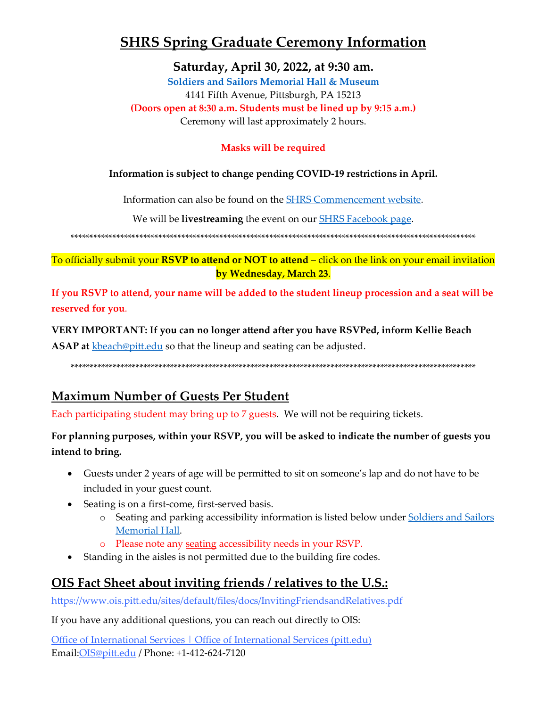# **SHRS Spring Graduate Ceremony Information**

Saturday, April 30, 2022, at 9:30 am.

**Soldiers and Sailors Memorial Hall & Museum** 4141 Fifth Avenue, Pittsburgh, PA 15213 (Doors open at 8:30 a.m. Students must be lined up by 9:15 a.m.) Ceremony will last approximately 2 hours.

### **Masks will be required**

#### Information is subject to change pending COVID-19 restrictions in April.

Information can also be found on the **SHRS** Commencement website.

We will be **livestreaming** the event on our **SHRS** Facebook page.

To officially submit your RSVP to attend or NOT to attend - click on the link on your email invitation by Wednesday, March 23.

If you RSVP to attend, your name will be added to the student lineup procession and a seat will be reserved for you.

#### VERY IMPORTANT: If you can no longer attend after you have RSVPed, inform Kellie Beach

**ASAP at** kbeach@pitt.edu so that the lineup and seating can be adjusted.

## **Maximum Number of Guests Per Student**

Each participating student may bring up to 7 guests. We will not be requiring tickets.

### For planning purposes, within your RSVP, you will be asked to indicate the number of guests you intend to bring.

- Guests under 2 years of age will be permitted to sit on someone's lap and do not have to be included in your guest count.
- Seating is on a first-come, first-served basis.
	- o Seating and parking accessibility information is listed below under Soldiers and Sailors Memorial Hall.
	- o Please note any seating accessibility needs in your RSVP.
- Standing in the aisles is not permitted due to the building fire codes.

## <u>OIS Fact Sheet about inviting friends / relatives to the U.S.:</u>

https://www.ois.pitt.edu/sites/default/files/docs/InvitingFriendsandRelatives.pdf

If you have any additional questions, you can reach out directly to OIS:

Office of International Services | Office of International Services (pitt.edu) Email: OIS@pitt.edu / Phone: +1-412-624-7120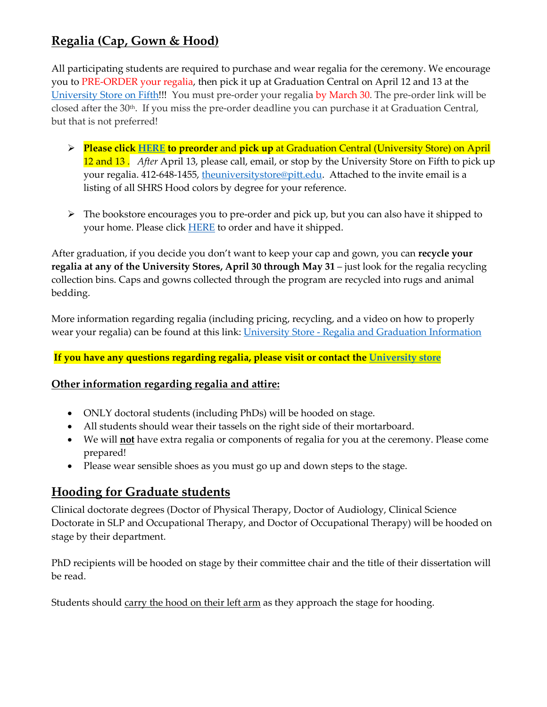## **Regalia (Cap, Gown & Hood)**

All participating students are required to purchase and wear regalia for the ceremony. We encourage you to PRE-ORDER your regalia, then pick it up at Graduation Central on April 12 and 13 at the [University Store on Fifth!](https://www.pittuniversitystore.com/SiteText?id=83063)!! You must pre-order your regalia by March 30. The pre-order link will be closed after the 30<sup>th</sup>. If you miss the pre-order deadline you can purchase it at Graduation Central, but that is not preferred!

- **Please clic[k HERE](https://www.pittuniversitystore.com/MerchList?ID=30445) to preorder** and **pick up** at Graduation Central (University Store) on April 12 and 13 . *After* April 13, please call, email, or stop by the University Store on Fifth to pick up your regalia. 412-648-1455, the university store @pitt.edu. Attached to the invite email is a listing of all SHRS Hood colors by degree for your reference.
- $\triangleright$  The bookstore encourages you to pre-order and pick up, but you can also have it shipped to your home. Please click **[HERE](https://pittsburgh.shopoakhalli.com/purchasewizard/Welcome)** to order and have it shipped.

After graduation, if you decide you don't want to keep your cap and gown, you can **recycle your regalia at any of the University Stores, April 30 through May 31** – just look for the regalia recycling collection bins. Caps and gowns collected through the program are recycled into rugs and animal bedding.

More information regarding regalia (including pricing, recycling, and a video on how to properly wear your regalia) can be found at this link: University Store - [Regalia and Graduation Information](https://www.pittuniversitystore.com/SiteText?id=89311) 

#### **If you have any questions regarding regalia, please visit or contact the [University store](https://www.pittuniversitystore.com/SiteText?id=83063)**

#### **Other information regarding regalia and attire:**

- ONLY doctoral students (including PhDs) will be hooded on stage.
- All students should wear their tassels on the right side of their mortarboard.
- We will **not** have extra regalia or components of regalia for you at the ceremony. Please come prepared!
- Please wear sensible shoes as you must go up and down steps to the stage.

### **Hooding for Graduate students**

Clinical doctorate degrees (Doctor of Physical Therapy, Doctor of Audiology, Clinical Science Doctorate in SLP and Occupational Therapy, and Doctor of Occupational Therapy) will be hooded on stage by their department.

PhD recipients will be hooded on stage by their committee chair and the title of their dissertation will be read.

Students should carry the hood on their left arm as they approach the stage for hooding.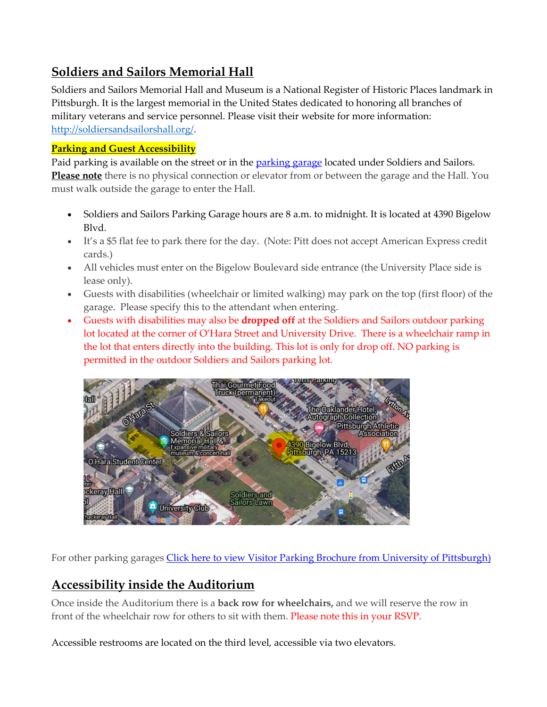## <span id="page-2-0"></span>**Soldiers and Sailors Memorial Hall**

Soldiers and Sailors Memorial Hall and Museum is a National Register of Historic Places landmark in Pittsburgh. It is the largest memorial in the United States dedicated to honoring all branches of military veterans and service personnel. Please visit their website for more information: <http://soldiersandsailorshall.org/>.

### **Parking and Guest Accessibility**

Paid parking is available on the street or in the [parking garage](http://www.alcoparking.com/university-of-pittsburgh/soldiers-and-sailors-parking-garage) located under Soldiers and Sailors. **Please note** there is no physical connection or elevator from or between the garage and the Hall. You must walk outside the garage to enter the Hall.

- Soldiers and Sailors Parking Garage hours are 8 a.m. to midnight. It is located at 4390 Bigelow Blvd.
- It's a \$5 flat fee to park there for the day. (Note: Pitt does not accept American Express credit cards.)
- All vehicles must enter on the Bigelow Boulevard side entrance (the University Place side is lease only).
- Guests with disabilities (wheelchair or limited walking) may park on the top (first floor) of the garage. Please specify this to the attendant when entering.
- Guests with disabilities may also be **dropped off** at the Soldiers and Sailors outdoor parking lot located at the corner of O'Hara Street and University Drive. There is a wheelchair ramp in the lot that enters directly into the building. This lot is only for drop off. NO parking is permitted in the outdoor Soldiers and Sailors parking lot.



For other parking garages [Click here to view Visitor Parking Brochure from University of Pittsburgh\)](http://r20.rs6.net/tn.jsp?f=00106uEphaoZ4VOkMNzlgS4enjSyH-NFvV3jxIAfP8OBFcVBSkdGaWeQ-SDv0Krx4E2rR10g2ZlQxE266ai8rdKD1RfcrY81vBhC0YQWnut1CzKo7ucbrAgXYXTKU1xqzxdIP0Vo22tiND0OPnZZrSezMvl91I30gtnf1fMkj7XE29v6yehFQxQAd7MFU3DDeZEALaQVnAvgUv24J5iyRhJmdbzEiqr1242_e-WZvuPZeY0-jY8RqsH0l9x1uIhEv3hwUFypY4LAXw=&c=&ch=)

# **Accessibility inside the Auditorium**

Once inside the Auditorium there is a **back row for wheelchairs,** and we will reserve the row in front of the wheelchair row for others to sit with them. Please note this in your RSVP.

Accessible restrooms are located on the third level, accessible via two elevators.